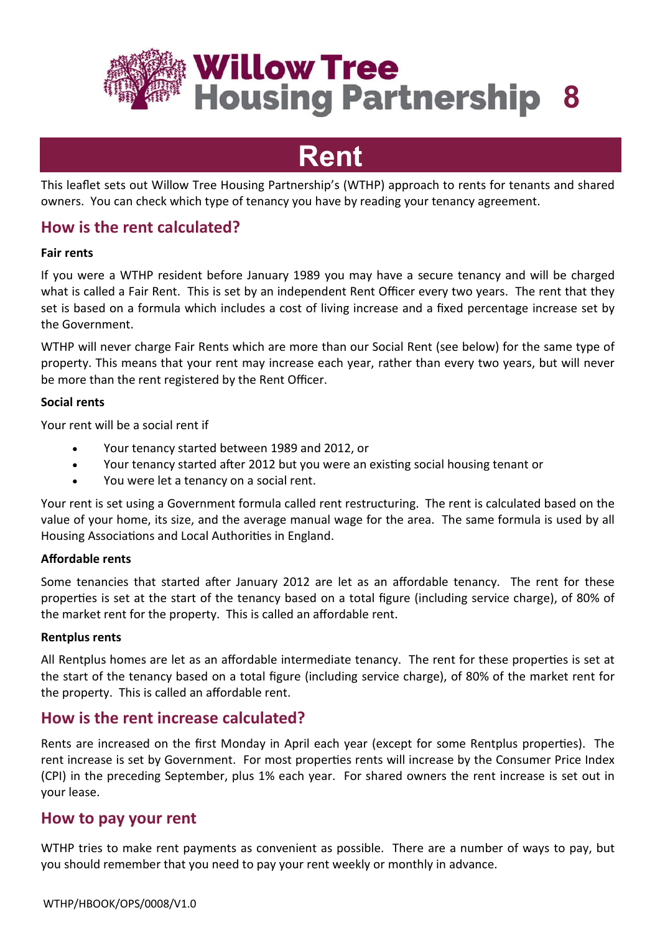

# **Rent**

This leaflet sets out Willow Tree Housing Partnership's (WTHP) approach to rents for tenants and shared owners. You can check which type of tenancy you have by reading your tenancy agreement.

# **How is the rent calculated?**

### **Fair rents**

If you were a WTHP resident before January 1989 you may have a secure tenancy and will be charged what is called a Fair Rent. This is set by an independent Rent Officer every two years. The rent that they set is based on a formula which includes a cost of living increase and a fixed percentage increase set by the Government.

WTHP will never charge Fair Rents which are more than our Social Rent (see below) for the same type of property. This means that your rent may increase each year, rather than every two years, but will never be more than the rent registered by the Rent Officer.

### **Social rents**

Your rent will be a social rent if

- Your tenancy started between 1989 and 2012, or
- Your tenancy started after 2012 but you were an existing social housing tenant or
- You were let a tenancy on a social rent.

Your rent is set using a Government formula called rent restructuring. The rent is calculated based on the value of your home, its size, and the average manual wage for the area. The same formula is used by all Housing Associations and Local Authorities in England.

### **Affordable rents**

Some tenancies that started after January 2012 are let as an affordable tenancy. The rent for these properties is set at the start of the tenancy based on a total figure (including service charge), of 80% of the market rent for the property. This is called an affordable rent.

#### **Rentplus rents**

All Rentplus homes are let as an affordable intermediate tenancy. The rent for these properties is set at the start of the tenancy based on a total figure (including service charge), of 80% of the market rent for the property. This is called an affordable rent.

# **How is the rent increase calculated?**

Rents are increased on the first Monday in April each year (except for some Rentplus properties). The rent increase is set by Government. For most properties rents will increase by the Consumer Price Index (CPI) in the preceding September, plus 1% each year. For shared owners the rent increase is set out in your lease.

## **How to pay your rent**

WTHP tries to make rent payments as convenient as possible. There are a number of ways to pay, but you should remember that you need to pay your rent weekly or monthly in advance.